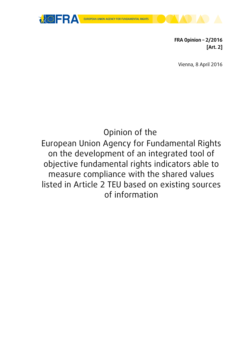



**FRA Opinion – 2/2016 [Art. 2]**

Vienna, 8 April 2016

# Opinion of the

European Union Agency for Fundamental Rights on the development of an integrated tool of objective fundamental rights indicators able to measure compliance with the shared values listed in Article 2 TEU based on existing sources of information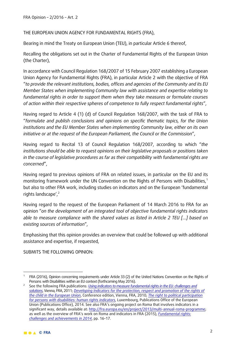THE EUROPEAN UNION AGENCY FOR FUNDAMENTAL RIGHTS (FRA),

Bearing in mind the Treaty on European Union (TEU), in particular Article 6 thereof,

Recalling the obligations set out in the Charter of Fundamental Rights of the European Union (the Charter),

In accordance with Council Regulation 168/2007 of 15 February 2007 establishing a European Union Agency for Fundamental Rights (FRA), in particular Article 2 with the objective of FRA "*to provide the relevant institutions, bodies, offices and agencies of the Community and its EU Member States when implementing Community law with assistance and expertise relating to fundamental rights in order to support them when they take measures or formulate courses of action within their respective spheres of competence to fully respect fundamental rights*",

Having regard to Article 4 (1) (d) of Council Regulation 168/2007, with the task of FRA to "*formulate and publish conclusions and opinions on specific thematic topics, for the Union institutions and the EU Member States when implementing Community law, either on its own initiative or at the request of the European Parliament, the Council or the Commission*",

Having regard to Recital 13 of Council Regulation 168/2007, according to which "*the institutions should be able to request opinions on their legislative proposals or positions taken in the course of legislative procedures as far as their compatibility with fundamental rights are concerned*",

Having regard to previous opinions of FRA on related issues, in particular on the EU and its monitoring framework under the UN Convention on the Rights of Persons with Disabilities,[1](#page-1-0) but also to other FRA work, including studies on indicators and on the European 'fundamental rights landscape', [2](#page-1-1)

Having regard to the request of the European Parliament of 14 March 2016 to FRA for an opinion "*on the development of an integrated tool of objective fundamental rights indicators able to measure compliance with the shared values as listed in Article 2 TEU […] based on existing sources of information*",

Emphasising that this opinion provides an overview that could be followed up with additional assistance and expertise, if requested,

SUBMITS THE FOLLOWING OPINION:

<span id="page-1-0"></span><sup>&</sup>lt;u>.</u> FRA (2016), Opinion concerning requirements under Article 33 (2) of the United Nations Convention on the Rights of<br>Persons with Disabilities within an EU context (forthcoming May 2016).

<span id="page-1-1"></span><sup>&</sup>lt;sup>2</sup> See the following FRA publications: *Using indicators to measure fundamental rights in the EU: challenges and [solutions](http://fra.europa.eu/en/publication/2012/fra-symposium-report-using-indicators-measure-fundamental-rights-eu-challenges-and)*, Vienna, FRA, 2011; *[Developing Indicators for the protection, respect and promotion of the rights of](http://fra.europa.eu/en/publication/2012/developing-indicators-protection-respect-and-promotion-rights-child-european-union)  [the child in the European Union](http://fra.europa.eu/en/publication/2012/developing-indicators-protection-respect-and-promotion-rights-child-european-union)*, Conference edition, Vienna, FRA, 2010; *[The right to political participation](http://fra.europa.eu/en/publication/2014/right-political-participation-persons-disabilities-human-rights-indicators)  [for persons with disabilities: human rights indicators](http://fra.europa.eu/en/publication/2014/right-political-participation-persons-disabilities-human-rights-indicators)*, Luxembourg, Publications Office of the European Union (Publications Office), 2014. See also FRA's ongoing project on Roma that involves indicators in a significant way, details available at: [http://fra.europa.eu/en/project/2013/multi-annual-roma-programme;](http://fra.europa.eu/en/project/2013/multi-annual-roma-programme) as well as the overview of FRA's work on Roma and indicators in FRA (2015), *[Fundamental rights:](http://fra.europa.eu/en/publications-and-resources/publications/annual-reports/fundamental-rights-2014)  [challenges and achievements in 2014](http://fra.europa.eu/en/publications-and-resources/publications/annual-reports/fundamental-rights-2014)*, pp. 16–17.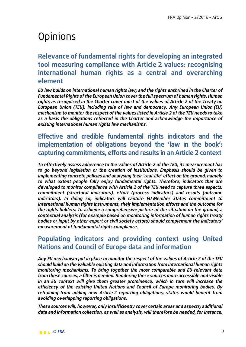# **Opinions**

# **Relevance of fundamental rights for developing an integrated tool measuring compliance with Article 2 values: recognising international human rights as a central and overarching element**

*EU law builds on international human rights law; and the rights enshrined in the Charter of Fundamental Rights of the European Union cover the full spectrum of human rights. Human rights as recognised in the Charter cover most of the values of Article 2 of the Treaty on European Union (TEU), including rule of law and democracy. Any European Union (EU) mechanism to monitor the respect of the values listed in Article 2 of the TEU needs to take as a basis the obligations reflected in the Charter and acknowledge the importance of existing international human rights law mechanisms.*

**Effective and credible fundamental rights indicators and the implementation of obligations beyond the 'law in the book': capturing commitments, efforts and results in an Article 2 context**

*To effectively assess adherence to the values of Article 2 of the TEU, its measurement has to go beyond legislation or the creation of institutions. Emphasis should be given to implementing concrete policies and analysing their 'real-life' effect on the ground, namely to what extent people fully enjoy fundamental rights. Therefore, indicators that are developed to monitor compliance with Article 2 of the TEU need to capture three aspects: commitment (structural indicators), effort (process indicators) and results (outcome indicators). In doing so, indicators will capture EU Member States commitment to international human rights instruments, their implementation efforts and the outcome for the rights holders. To achieve a comprehensive picture of the situation on the ground, a contextual analysis (for example based on monitoring information of human rights treaty bodies or input by other expert or civil society actors) should complement the indicators' measurement of fundamental rights compliance.* 

# **Populating indicators and providing context using United Nations and Council of Europe data and information**

*Any EU mechanism put in place to monitor the respect of the values of Article 2 of the TEU should build on the valuable existing data and information from international human rights monitoring mechanisms. To bring together the most comparable and EU-relevant data from these sources, a filter is needed. Rendering these sources more accessible and visible in an EU context will give them greater prominence, which in turn will increase the efficiency of the existing United Nations and Council of Europe monitoring bodies. By refraining from adding new Article 2 reporting obligations, states would benefit from avoiding overlapping reporting obligations.* 

*These sources will, however, only insufficiently cover certain areas and aspects; additional data and information collection, as well as analysis, will therefore be needed, for instance,*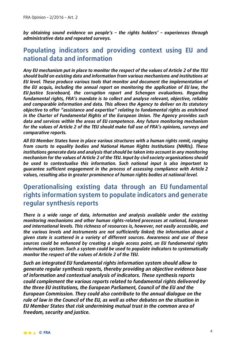*by obtaining sound evidence on people's – the rights holders' – experiences through administrative data and repeated surveys.* 

### **Populating indicators and providing context using EU and national data and information**

*Any EU mechanism put in place to monitor the respect of the values of Article 2 of the TEU should build on existing data and information from various mechanisms and institutions at EU level. These produce various tools that monitor and document the implementation of the EU* **acquis***, including the annual report on monitoring the application of EU law, the EU Justice Scoreboard, the corruption report and Schengen evaluations. Regarding fundamental rights, FRA's mandate is to collect and analyse relevant, objective, reliable and comparable information and data. This allows the Agency to deliver on its statutory objective to offer "assistance and expertise" relating to fundamental rights as enshrined in the Charter of Fundamental Rights of the European Union. The Agency provides such data and services within the areas of EU competence. Any future monitoring mechanism for the values of Article 2 of the TEU should make full use of FRA's opinions, surveys and comparative reports.* 

*All EU Member States have in place various structures with a human rights remit, ranging from courts to equality bodies and National Human Rights Institutions (NHRIs). These institutions generate data and analysis that should be taken into account in any monitoring mechanism for the values of Article 2 of the TEU. Input by civil society organisations should be used to contextualise this information. Such national input is also important to guarantee sufficient engagement in the process of assessing compliance with Article 2 values, resulting also in greater prominence of human rights bodies at national level.*

### **Operationalising existing data through an EU fundamental rights information system to populate indicators and generate regular synthesis reports**

*There is a wide range of data, information and analysis available under the existing monitoring mechanisms and other human rights-related processes at national, European and international levels. This richness of resources is, however, not easily accessible, and the various levels and instruments are not sufficiently linked; the information about a given state is scattered in a variety of different sources. Awareness and use of these sources could be enhanced by creating a single access point, an EU fundamental rights information system. Such a system could be used to populate indicators to systematically monitor the respect of the values of Article 2 of the TEU.* 

*Such an integrated EU fundamental rights information system should allow to generate regular synthesis reports, thereby providing an objective evidence base of information and contextual analysis of indicators. These synthesis reports could complement the various reports related to fundamental rights delivered by the three EU institutions, the European Parliament, Council of the EU and the European Commission. They could also contribute to the annual dialogue on the rule of law in the Council of the EU, as well as other debates on the situation in EU Member States that risk undermining mutual trust in the common area of freedom, security and justice.*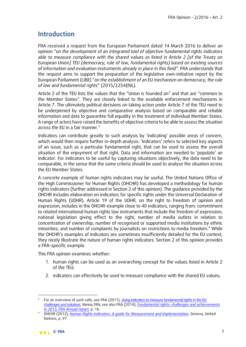# **Introduction**

FRA received a request from the European Parliament dated 14 March 2016 to deliver an opinion "*on the development of an integrated tool of objective fundamental rights indicators able to measure compliance with the shared values as listed in Article 2 [of the Treaty on European Union] TEU (democracy, rule of law, fundamental rights) based on existing sources*  of information and evaluation instruments already in place in this field". FRA understands that the request aims to support the preparation of the legislative own-initiative report by the European Parliament (LIBE) "*on the establishment of an EU mechanism on democracy, the rule of law and fundamental rights*" (2015/2254(INL)*.* 

Article 2 of the TEU lists the values that the "Union is founded on" and that are "common to the Member States". They are closely linked to the available enforcement mechanisms in Article 7. The ultimately political decisions on taking action under Article 7 of the TEU need to be underpinned by objective and comparative analysis based on comparable and reliable information and data to guarantee full equality in the treatment of individual Member States. A range of actors have raised the benefits of objective criteria to be able to assess the situation across the EU in a fair manner. $3$ 

Indicators can contribute greatly to such analysis by 'indicating' possible areas of concern, which would then require further in-depth analysis. 'Indicators' refers to selected key aspects of an issue, such as a particular fundamental right, that can be used to assess the overall situation of the enjoyment of that right. Data and information are needed to 'populate' an indicator. For indicators to be useful by capturing situations objectively, the data need to be comparable, in the sense that the same criteria should be used to analyse the situation across the EU Member States.

A concrete example of human rights indicators may be useful. The United Nations Office of the High Commissioner for Human Rights (OHCHR) has developed a methodology for human rights indicators (further addressed in Section 2 of this opinion). The guidance provided by the OHCHR includes elaboration on indicators for specific rights under the Universal Declaration of Human Rights (UDHR). Article 19 of the UDHR, on the right to freedom of opinion and expression, includes in the OHCHR-example close to 40 indicators, ranging from: commitment to related international human rights law instruments that include the freedom of expression; national legislation giving effect to the right; number of media outlets in relation to concentration of ownership; number of recognised or supported media institutions by ethnic minorities: and number of complaints by journalists on restrictions to media freedom.<sup>[4](#page-4-1)</sup> While the OHCHR's examples of indicators are sometimes insufficiently detailed for the EU context, they nicely illustrate the nature of human rights indicators. Section 2 of this opinion provides a FRA-specific example.

This FRA opinion examines whether:

- 1. human rights can be used as an overarching concept for the values listed in Article 2 of the TEU;
- 2. indicators can effectively be used to measure compliance with the shared EU values;

<span id="page-4-0"></span> $\overline{a}$ <sup>3</sup> For an overview of such calls, see FRA (2011), *[Using indicators to measure fundamental rights in the EU:](http://fra.europa.eu/en/publication/2012/fra-symposium-report-using-indicators-measure-fundamental-rights-eu-challenges-and)  [challenges and solutions](http://fra.europa.eu/en/publication/2012/fra-symposium-report-using-indicators-measure-fundamental-rights-eu-challenges-and)*, Vienna, FRA; see also FRA (2014), *[Fundamental rights: challenges and achievements](http://fra.europa.eu/en/publication/2014/fundamental-rights-challenges-and-achievements-2013-annual-report-2013)* 

<span id="page-4-1"></span>*in 2013, FRA Annual report*, p. 16. 4 OHCHR (2012), *[Human Rights Indicators: A guide for Measurement and Implementation](http://www.ohchr.org/Documents/Publications/Human_rights_indicators_en.pdf)*, Geneva, United Nations, p. 97.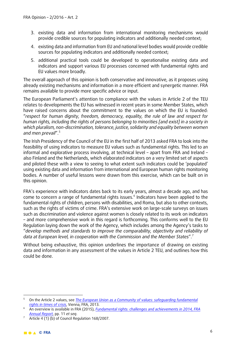- 3. existing data and information from international monitoring mechanisms would provide credible sources for populating indicators and additionally needed context;
- 4. existing data and information from EU and national level bodies would provide credible sources for populating indicators and additionally needed context;
- 5. additional practical tools could be developed to operationalise existing data and indicators and support various EU processes concerned with fundamental rights and EU values more broadly.

The overall approach of this opinion is both conservative and innovative, as it proposes using already existing mechanisms and information in a more efficient and synergetic manner. FRA remains available to provide more specific advice or input.

The European Parliament's attention to compliance with the values in Article 2 of the TEU relates to developments the EU has witnessed in recent years in some Member States, which have raised concerns about the commitment to the values on which the EU is founded: "*respect for human dignity, freedom, democracy, equality, the rule of law and respect for human rights, including the rights of persons belonging to minorities [and exist] in a society in which pluralism, non-discrimination, tolerance, justice, solidarity and equality between women and men prevail*". [5](#page-5-0)

The Irish Presidency of the Council of the EU in the first half of 2013 asked FRA to look into the feasibility of using indicators to measure EU values such as fundamental rights. This led to an informal and explorative process involving, at technical level – apart from FRA and Ireland – also Finland and the Netherlands, which elaborated indicators on a very limited set of aspects and piloted these with a view to seeing to what extent such indicators could be 'populated' using existing data and information from international and European human rights monitoring bodies. A number of useful lessons were drawn from this exercise, which can be built on in this opinion.

FRA's experience with indicators dates back to its early years, almost a decade ago, and has come to concern a range of fundamental rights issues.<sup>[6](#page-5-1)</sup> Indicators have been applied to the fundamental rights of children, persons with disabilities, and Roma, but also to other contexts, such as the rights of victims of crime. FRA's extensive work on large-scale surveys on issues such as discrimination and violence against women is closely related to its work on indicators – and more comprehensive work in this regard is forthcoming. This conforms well to the EU Regulation laying down the work of the Agency, which includes among the Agency's tasks to "*develop methods and standards to improve the comparability, objectivity and reliability of data at European level, in cooperation with the Commission and the Member States*". [7](#page-5-2)

Without being exhaustive, this opinion underlines the importance of drawing on existing data and information in any assessment of the values in Article 2 TEU, and outlines how this could be done.

<span id="page-5-0"></span><sup>-</sup><sup>5</sup> On the Article 2 values, see *[The European Union as a Community of values: safeguarding fundamental](http://fra.europa.eu/sites/default/files/fra-2013-safeguarding-fundamental-rights-in-crisis_en.pdf)  [rights in times of crisis](http://fra.europa.eu/sites/default/files/fra-2013-safeguarding-fundamental-rights-in-crisis_en.pdf)*, Vienna, FRA, 2013.

<span id="page-5-1"></span><sup>6</sup> An overview is available in FRA (2015), *[Fundamental rights: challenges and achievements in 2014, FRA](http://fra.europa.eu/en/publication/2015/fundamental-rights-challenges-and-achievements-2014)  [Annual Report](http://fra.europa.eu/en/publication/2015/fundamental-rights-challenges-and-achievements-2014)*, pp. 11 *et seq*.

<span id="page-5-2"></span> $\overline{7}$  Article 4 (1) (b) of Council Regulation 168/2007.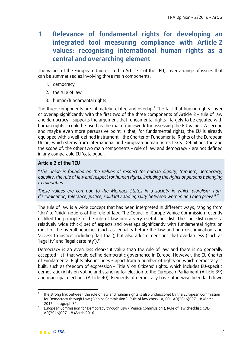# 1. **Relevance of fundamental rights for developing an integrated tool measuring compliance with Article 2 values: recognising international human rights as a central and overarching element**

The values of the European Union, listed in Article 2 of the TEU, cover a range of issues that can be summarised as involving three main components:

- 1. democracy
- 2. the rule of law
- 3. human/fundamental rights

The three components are intimately related and overlap.<sup>[8](#page-6-0)</sup> The fact that human rights cover or overlap significantly with the first two of the three components of Article 2 – rule of law and democracy – supports the argument that fundamental rights – largely to be equated with human rights – could be used as the main framework for assessing the EU values. A second and maybe even more persuasive point is that, for fundamental rights, the EU is already equipped with a well-defined instrument – the Charter of Fundamental Rights of the European Union, which stems from international and European human rights texts. Definitions for, and the scope of, the other two main components – rule of law and democracy - are not defined in any comparable EU 'catalogue'.

#### **Article 2 of the TEU**

"*The Union is founded on the values of respect for human dignity, freedom, democracy, equality, the rule of law and respect for human rights, including the rights of persons belonging to minorities.*

*These values are common to the Member States in a society in which pluralism, nondiscrimination, tolerance, justice, solidarity and equality between women and men prevail.*"

The rule of law is a wide concept that has been interpreted in different ways, ranging from 'thin' to 'thick' notions of the rule of law. The Council of Europe Venice Commission recently distilled the principle of the rule of law into a very useful checklist. The checklist covers a relatively wide (thick) set of aspects and overlaps significantly with fundamental rights on most of the overall headings (such as 'equality before the law and non-discrimination' and 'access to justice' including 'fair trial'), but also adds dimensions that overlap less (such as 'legality' and 'legal certainty').<sup>[9](#page-6-1)</sup>

Democracy is an even less clear-cut value than the rule of law and there is no generally accepted 'list' that would define democratic governance in Europe. However, the EU Charter of Fundamental Rights also includes – apart from a number of rights on which democracy is built, such as freedom of expression – Title V on Citizens' rights, which includes EU-specific democratic rights on voting and standing for election to the European Parliament (Article 39) and municipal elections (Article 40). Elements of democracy have otherwise been laid down

 $\overline{a}$ 

<span id="page-6-0"></span><sup>&</sup>lt;sup>8</sup> The strong link between the rule of law and human rights is also underscored by the European Commission for Democracy through Law ('Venice Commission'), Rule of law checklist, CDL-AD(2016)007, 18 March 2016, paragraph 31.

<span id="page-6-1"></span><sup>&</sup>lt;sup>9</sup> European Commission for Democracy through Law ('Venice Commission'), Rule of law checklist, CDL-AD(2016)007, 18 March 2016.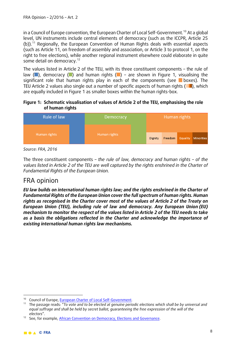in a Council of Europe convention, the European Charter of Local Self-Government.<sup>[10](#page-7-0)</sup> At a global level, UN instruments include central elements of democracy (such as the ICCPR, Article 25 (b)). [11](#page-7-1) Regionally, the European Convention of Human Rights deals with essential aspects (such as Article 11, on freedom of assembly and association, or Article 3 to protocol 1, on the right to free elections), while another regional instrument elsewhere could elaborate in quite some detail on democracy.<sup>[12](#page-7-2)</sup>

The values listed in Article 2 of the TEU, with its three constituent components – the rule of law  $(\blacksquare)$ , democracy  $(\blacksquare)$  and human rights  $(\blacksquare)$  – are shown in Figure 1, visualising the significant role that human rights play in each of the components (see  $\blacksquare$  boxes). The TEU Article 2 values also single out a number of specific aspects of human rights  $(\Box)$ , which are equally included in Figure 1 as smaller boxes within the human rights-box.

#### **Figure 1: Schematic visualisation of values of Article 2 of the TEU, emphasising the role of human rights**



*Source: FRA, 2016*

The three constituent components *– the rule of law, democracy and human rights – of the values listed in Article 2 of the TEU are well captured by the rights enshrined in the Charter of Fundamental Rights of the European Union.*

### FRA opinion

*EU law builds on international human rights law; and the rights enshrined in the Charter of Fundamental Rights of the European Union cover the full spectrum of human rights. Human rights as recognised in the Charter cover most of the values of Article 2 of the Treaty on European Union (TEU), including rule of law and democracy. Any European Union (EU) mechanism to monitor the respect of the values listed in Article 2 of the TEU needs to take as a basis the obligations reflected in the Charter and acknowledge the importance of existing international human rights law mechanisms.*

<sup>-</sup>

<span id="page-7-1"></span><span id="page-7-0"></span><sup>&</sup>lt;sup>10</sup> Council of Europe, <u>European Charter of Local Self-Government</u>.<br><sup>11</sup> The passage reads: "*To vote and to be elected at genuine periodic elections which shall be by universal and equal suffrage and shall be held by secret ballot, guaranteeing the free expression of the will of the electors*".

<span id="page-7-2"></span><sup>&</sup>lt;sup>12</sup> See, for example, African Convention on Democracy, Elections and Governance.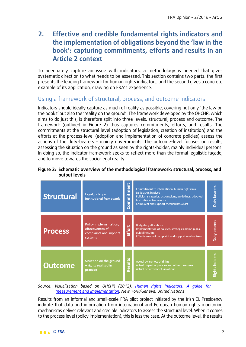# **2. Effective and credible fundamental rights indicators and the implementation of obligations beyond the 'law in the book': capturing commitments, efforts and results in an Article 2 context**

To adequately capture an issue with indicators, a methodology is needed that gives systematic direction to what needs to be assessed. This section contains two parts: the first presents the leading framework for human rights indicators, and the second gives a concrete example of its application, drawing on FRA's experience.

#### Using a framework of structural, process, and outcome indicators

Indicators should ideally capture as much of reality as possible, covering not only 'the law on the books' but also the 'reality on the ground'. The framework developed by the OHCHR, which aims to do just this, is therefore split into three levels: structural, process and outcome. The framework (outlined in Figure 2) thus captures commitments, efforts, and results. The commitments at the structural level (adoption of legislation, creation of institution) and the efforts at the process-level (adoption and implementation of concrete policies) assess the actions of the duty-bearers – mainly governments. The outcome-level focuses on results, assessing the situation on the ground as seen by the rights-holder, mainly individual persons. In doing so, the indicator framework seeks to reflect more than the formal legalistic façade, and to move towards the socio-legal reality.

#### **Figure 2: Schematic overview of the methodological framework: structural, process, and output levels**



*Source: Visualisation based on OHCHR (2012), [Human rights indicators: A guide for](http://www.ohchr.org/Documents/Publications/Human_rights_indicators_en.pdf)  [measurement and implementation,](http://www.ohchr.org/Documents/Publications/Human_rights_indicators_en.pdf) New York/Geneva, United Nations*

Results from an informal and small-scale FRA pilot project initiated by the Irish EU Presidency indicate that data and information from international and European human rights monitoring mechanisms deliver relevant and credible indicators to assess the structural level. When it comes to the process level (policy implementation), this is less the case. At the outcome level, the results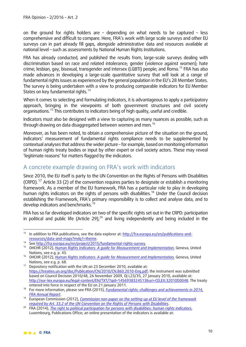on the ground for rights holders are – depending on what needs to be captured – less comprehensive and difficult to compare. Here, FRA's work with large scale surveys and other EU surveys can in part already fill gaps, alongside administrative data and resources available at national level – such as assessments by National Human Rights Institutions.

FRA has already conducted, and published the results from, large-scale surveys dealing with discrimination based on race and related intolerance; gender (violence against women); hate crime; lesbian, gay, bisexual, transgender and intersex (LGBTI) people; and Roma.<sup>[13](#page-9-0)</sup> FRA has also made advances in developing a large-scale quantitative survey that will look at a range of fundamental rights issues as experienced by the general population in the EU's 28 Member States. The survey is being undertaken with a view to producing comparable indicators for EU Member States on key fundamental rights.<sup>[14](#page-9-1)</sup>

When it comes to selecting and formulating indicators, it is advantageous to apply a participatory approach, bringing in the viewpoints of both government structures and civil society organisations.[15](#page-9-2) This contributes to indicators being of high quality, useful and credible.

Indicators must also be designed with a view to capturing as many nuances as possible, such as through drawing on data disaggregated between women and men.<sup>[16](#page-9-3)</sup>

Moreover, as has been noted, to obtain a comprehensive picture of the situation on the ground, indicators' measurement of fundamental rights compliance needs to be supplemented by contextual analyses that address the wider picture – for example, based on monitoring information of human rights treaty bodies or input by other expert or civil society actors. These may reveal 'legitimate reasons' for matters flagged by the indicators.

### A concrete example drawing on FRA's work with indicators

Since 2010, the EU itself is party to the UN Convention on the Rights of Persons with Disabilities (CRPD).<sup>[17](#page-9-4)</sup> Article 33 (2) of the convention requires parties to designate or establish a monitoring framework. As a member of the EU framework, FRA has a particular role to play in developing human rights indicators on the rights of persons with disabilities. [18](#page-9-5) Under the Council decision establishing the Framework, FRA's primary responsibility is to collect and analyse data, and to develop indicators and benchmarks.[19](#page-9-6)

FRA has so far developed indicators on two of the specific rights set out in the CRPD: participation in political and public life (Article 29), $20$  and living independently and being included in the

<span id="page-9-0"></span><sup>&</sup>lt;u>.</u> <sup>13</sup> In addition to FRA publications, see the data explorer at: [http://fra.europa.eu/en/publications-and](http://fra.europa.eu/en/publications-and-resources/data-and-maps?mdq1=theme)[resources/data-and-maps?mdq1=theme.](http://fra.europa.eu/en/publications-and-resources/data-and-maps?mdq1=theme) 14 See [http://fra.europa.eu/en/project/2015/fundamental-rights-survey.](http://fra.europa.eu/en/project/2015/fundamental-rights-survey) 15 OHCHR (2012), *[Human Rights Indicators: A guide for Measurement and Implementation](http://www.ohchr.org/Documents/Publications/Human_rights_indicators_en.pdf)*, Geneva, United

<span id="page-9-1"></span>

<span id="page-9-2"></span>Nations, see e.g. p. 43.

<span id="page-9-3"></span><sup>16</sup> OHCHR (2012), *[Human Rights Indicators: A guide for Measurement and Implementation](http://www.ohchr.org/Documents/Publications/Human_rights_indicators_en.pdf)*, Geneva, United Nations, see e.g. p. 68.

<span id="page-9-4"></span><sup>&</sup>lt;sup>17</sup> Depository notification with the UN on 23 December 2010, available at: [https://treaties.un.org/doc/Publication/CN/2010/CN.860.2010-Eng.pdf;](https://treaties.un.org/doc/Publication/CN/2010/CN.860.2010-Eng.pdf) the instrument was submitted based on Council Decision 2010/48, 26 November 2009, OJ L23/35, 27 January 2010, available at: [http://eur-lex.europa.eu/legal-content/EN/TXT/?qid=1456938324513&uri=CELEX:32010D0048.](http://eur-lex.europa.eu/legal-content/EN/TXT/?qid=1456938324513&uri=CELEX:32010D0048) The treaty entered into force in respect of the EU on 21 January 2011.

<span id="page-9-5"></span><sup>18</sup> For more information, please see FRA (2015), *[Fundamental rights: challenges and achievements in 2014,](http://fra.europa.eu/en/publication/2015/fundamental-rights-challenges-and-achievements-2014)  [FRA Annual Report](http://fra.europa.eu/en/publication/2015/fundamental-rights-challenges-and-achievements-2014)*.

<span id="page-9-6"></span><sup>19</sup> European Commission (2012), *[Commission non-paper on the setting-up at EU level of the framework](http://ec.europa.eu/social/BlobServlet?docId=14155&langId=en)  [required by Art. 33.2 of the UN Convention on the Rights of Persons with Disabilities](http://ec.europa.eu/social/BlobServlet?docId=14155&langId=en)*.

<span id="page-9-7"></span><sup>20</sup> FRA (2014), *[The right to political participation for persons with disabilities: human rights indicators](http://fra.europa.eu/en/publication/2014/right-political-participation-persons-disabilities-human-rights-indicators)*, Luxembourg, Publications Office; an online presentation of the indicators is available at: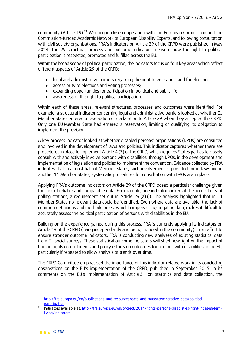community (Article 19).<sup>[21](#page-10-0)</sup> Working in close cooperation with the European Commission and the Commission-funded Academic Network of European Disability Experts, and following consultation with civil society organisations, FRA's indicators on Article 29 of the CRPD were published in May 2014. The 29 structural, process and outcome indicators measure how the right to political participation is respected, promoted and fulfilled across the EU.

Within the broad scope of political participation, the indicators focus on four key areas which reflect different aspects of Article 29 of the CRPD:

- legal and administrative barriers regarding the right to vote and stand for election;
- accessibility of elections and voting processes;
- expanding opportunities for participation in political and public life;
- awareness of the right to political participation.

Within each of these areas, relevant structures, processes and outcomes were identified. For example, a structural indicator concerning legal and administrative barriers looked at whether EU Member States entered a reservation or declaration to Article 29 when they accepted the CRPD. Only one EU Member State had entered a reservation, limiting or qualifying its obligation to implement the provision.

A key process indicator looked at whether disabled persons' organisations (DPOs) are consulted and involved in the development of laws and policies. This indicator captures whether there are procedures in place to implement Article 4 (3) of the CRPD, which requires States parties to closely consult with and actively involve persons with disabilities, through DPOs, in the development and implementation of legislation and policies to implement the convention. Evidence collected by FRA indicates that in almost half of Member States, such involvement is provided for in law; and in another 11 Member States, systematic procedures for consultation with DPOs are in place.

Applying FRA's outcome indicators on Article 29 of the CRPD posed a particular challenge given the lack of reliable and comparable data. For example, one indicator looked at the accessibility of polling stations, a requirement set out in Article 29 (a) (i). The analysis highlighted that in 11 Member States no relevant data could be identified. Even where data are available, the lack of common definitions and methodologies, which hampers disaggregating data, makes it difficult to accurately assess the political participation of persons with disabilities in the EU.

Building on the experience gained during this process, FRA is currently applying its indicators on Article 19 of the CRPD (living independently and being included in the community). In an effort to ensure stronger outcome indicators, FRA is conducting new analyses of existing statistical data from EU social surveys. These statistical outcome indicators will shed new light on the impact of human rights commitments and policy efforts on outcomes for persons with disabilities in the EU, particularly if repeated to allow analysis of trends over time.

The CRPD Committee emphasised the importance of this indicator-related work in its concluding observations on the EU's implementation of the CRPD, published in September 2015. In its comments on the EU's implementation of Article 31 on statistics and data collection, the

 $\overline{a}$ 

[http://fra.europa.eu/en/publications-and-resources/data-and-maps/comparative-data/political-](http://fra.europa.eu/en/publications-and-resources/data-and-maps/comparative-data/political-participation)

<span id="page-10-0"></span>[participation.](http://fra.europa.eu/en/publications-and-resources/data-and-maps/comparative-data/political-participation)<br><sup>21</sup> Indicators available at[: http://fra.europa.eu/en/project/2014/rights-persons-disabilities-right-independent](http://fra.europa.eu/en/project/2014/rights-persons-disabilities-right-independent-living/indicators)[living/indicators.](http://fra.europa.eu/en/project/2014/rights-persons-disabilities-right-independent-living/indicators)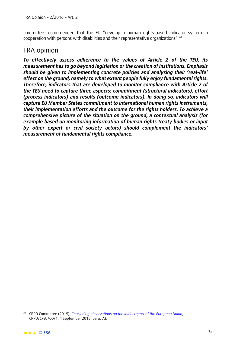committee recommended that the EU "develop a human rights-based indicator system in cooperation with persons with disabilities and their representative organizations".[22](#page-11-0)

### FRA opinion

*To effectively assess adherence to the values of Article 2 of the TEU, its measurement has to go beyond legislation or the creation of institutions. Emphasis should be given to implementing concrete policies and analysing their 'real-life' effect on the ground, namely to what extent people fully enjoy fundamental rights. Therefore, indicators that are developed to monitor compliance with Article 2 of the TEU need to capture three aspects: commitment (structural indicators), effort (process indicators) and results (outcome indicators). In doing so, indicators will capture EU Member States commitment to international human rights instruments, their implementation efforts and the outcome for the rights holders. To achieve a comprehensive picture of the situation on the ground, a contextual analysis (for example based on monitoring information of human rights treaty bodies or input by other expert or civil society actors) should complement the indicators' measurement of fundamental rights compliance.*

<span id="page-11-0"></span><sup>-</sup><sup>22</sup> CRPD Committee (2015), *[Concluding observations on the initial report of the European Union](http://tbinternet.ohchr.org/_layouts/treatybodyexternal/Download.aspx?symbolno=CRPD%2fC%2fEU%2fCO%2f1&Lang=en)*, CRPD/C/EU/CO/1, 4 September 2015, para. 73.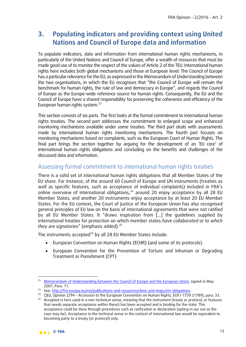# **3. Populating indicators and providing context using United Nations and Council of Europe data and information**

To populate indicators, data and information from international human rights mechanisms, in particularly of the United Nations and Council of Europe, offer a wealth of resources that must be made good use of to monitor the respect of the values of Article 2 of the TEU. International human rights here includes both global mechanisms and those at European level. The Council of Europe has a particular relevance for the EU, as expressed in the Memorandum of Understanding between the two organisations, in which the EU recognises that "the Council of Europe will remain the benchmark for human rights, the rule of law and democracy in Europe", and regards the Council of Europe as the Europe-wide reference source for human rights. Consequently, the EU and the Council of Europe have a shared responsibility for preserving the coherence and efficiency of the European human rights system.<sup>[23](#page-12-0)</sup>

This section consists of six parts. The first looks at the formal commitment to international human rights treaties. The second part addresses the commitment to enlarged scope and enhanced monitoring mechanisms available under some treaties. The third part deals with assessments made by international human rights monitoring mechanisms. The fourth part focuses on monitoring mechanisms based on complaints, such as the European Court of Human Rights. The final part brings the section together by arguing for the development of an 'EU core' of international human rights obligations and concluding on the benefits and challenges of the discussed data and information.

#### Assessing formal commitment to international human rights treaties

There is a solid set of international human rights obligations that all Member States of the EU share. For instance, of the around 60 Council of Europe and UN instruments (treaties as well as specific features, such as acceptance of individual complaints) included in FRA's online overview of international obligations, $^{24}$  $^{24}$  $^{24}$  around 20 enjoy acceptance by all 28 EU Member States, and another 20 instruments enjoy acceptance by at least 20 EU Member States. For the EU context, the Court of Justice of the European Union has also recognised general principles of EU law on the basis of international agreements that were not *ratified* by all EU Member States. It "draws inspiration from […] the guidelines supplied by international treaties for protection on which member states *have collaborated or to which*  they are signatories" (emphasis added).<sup>[25](#page-12-2)</sup>

The instruments accepted<sup>[26](#page-12-3)</sup> by all 28 EU Member States include:

- European Convention on Human Rights (ECHR) (and some of its protocols)
- European Convention for the Prevention of Torture and Inhuman or Degrading Treatment or Punishment (CPT)

<span id="page-12-0"></span> $\overline{a}$ <sup>23</sup> [Memorandum of Understanding between the Council of Europe](http://ec.europa.eu/justice/international-relations/files/mou_2007_en.pdf) and the European Union, signed in May<br>2007. Para. 11.

<span id="page-12-3"></span><span id="page-12-2"></span><span id="page-12-1"></span><sup>&</sup>lt;sup>24</sup> See: <u>http://fra.europa.eu/en/publications-and-resources/data-and-maps/int-obligations</u>.<br><sup>25</sup> CIEU, Opinion 2/94 – Accession to the European Convention on Human Rights, ECR I-1759 (1789), para. 33. <sup>26</sup> Accepted is here used in a non-technical sense, meaning that the instrument (treaty or protocol, or features that needs separate acceptance within these) has been accepted and is binding for the state. This acceptance could be done through procedures such as ratification or declaration (opting in our out as the case may be). Acceptance in the technical sense in the context of international law would be equivalent to becoming party to a treaty (or protocol) only.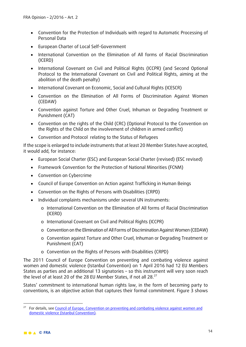- Convention for the Protection of Individuals with regard to Automatic Processing of Personal Data
- European Charter of Local Self-Government
- International Convention on the Elimination of All forms of Racial Discrimination (ICERD)
- International Covenant on Civil and Political Rights (ICCPR) (and Second Optional Protocol to the International Covenant on Civil and Political Rights, aiming at the abolition of the death penalty)
- International Covenant on Economic, Social and Cultural Rights (ICESCR)
- Convention on the Elimination of All Forms of Discrimination Against Women (CEDAW)
- Convention against Torture and Other Cruel, Inhuman or Degrading Treatment or Punishment (CAT)
- Convention on the rights of the Child (CRC) (Optional Protocol to the Convention on the Rights of the Child on the involvement of children in armed conflict)
- Convention and Protocol relating to the Status of Refugees

If the scope is enlarged to include instruments that at least 20 Member States have accepted, it would add, for instance:

- European Social Charter (ESC) and European Social Charter (revised) (ESC revised)
- Framework Convention for the Protection of National Minorities (FCNM)
- Convention on Cybercrime
- Council of Europe Convention on Action against Trafficking in Human Beings
- Convention on the Rights of Persons with Disabilities (CRPD)
- Individual complaints mechanisms under several UN instruments:
	- o International Convention on the Elimination of All forms of Racial Discrimination (ICERD)
	- o International Covenant on Civil and Political Rights (ICCPR)
	- o Convention on the Elimination of All Forms of Discrimination Against Women (CEDAW)
	- o Convention against Torture and Other Cruel, Inhuman or Degrading Treatment or Punishment (CAT)
	- o Convention on the Rights of Persons with Disabilities (CRPD)

The 2011 Council of Europe Convention on preventing and combating violence against women and domestic violence (Istanbul Convention) on 1 April 2016 had 12 EU Members States as parties and an additional 13 signatories – so this instrument will very soon reach the level of at least 20 of the 28 EU Member States, if not all 28.<sup>[27](#page-13-0)</sup>

States' commitment to international human rights law, in the form of becoming party to conventions, is an objective action that captures their formal commitment. Figure 3 shows

-

<span id="page-13-0"></span><sup>&</sup>lt;sup>27</sup> For details, see Council of Europe, Convention on preventing and combating violence against women and domestic violence (Istanbul Convention).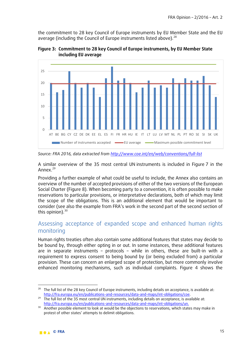the commitment to 28 key Council of Europe instruments by EU Member State and the EU average (including the Council of Europe instruments listed above).<sup>[28](#page-14-0)</sup>



**Figure 3: Commitment to 28 key Council of Europe instruments, by EU Member State including EU average**

*Source: FRA 2016, data extracted from<http://www.coe.int/en/web/conventions/full-list>*

A similar overview of the 35 most central UN instruments is included in Figure 7 in the Annex.[29](#page-14-1)

Providing a further example of what could be useful to include, the Annex also contains an overview of the number of accepted provisions of either of the two versions of the European Social Charter (Figure 8). When becoming party to a convention, it is often possible to make reservations to particular provisions, or interpretative declarations, both of which may limit the scope of the obligations. This is an additional element that would be important to consider (see also the example from FRA's work in the second part of the second section of this opinion). $30$ 

#### Assessing acceptance of expanded scope and enhanced human rights monitoring

Human rights treaties often also contain some additional features that states may decide to be bound by, through either opting in or out. In some instances, these additional features are in separate instruments – protocols – while in others, these are built-in with a requirement to express consent to being bound by (or being excluded from) a particular provision. These can concern an enlarged scope of protection, but more commonly involve enhanced monitoring mechanisms, such as individual complaints. Figure 4 shows the

 $\overline{a}$ 

<span id="page-14-0"></span><sup>&</sup>lt;sup>28</sup> The full list of the 28 key Council of Europe instruments, including details on acceptance, is available at: http://fra.europa.eu/en/publications-and-resources/data-and-maps/int-obligations/coe.<br><sup>29</sup> The full list of the 35 most central UN instruments, including details on acceptance, is available at:

<span id="page-14-1"></span>[http://fra.europa.eu/en/publications-and-resources/data-and-maps/int-obligations/un.](http://fra.europa.eu/en/publications-and-resources/data-and-maps/int-obligations/un)

<span id="page-14-2"></span><sup>&</sup>lt;sup>30</sup> Another possible element to look at would be the objections to reservations, which states may make in protest of other states' attempts to delimit obligations.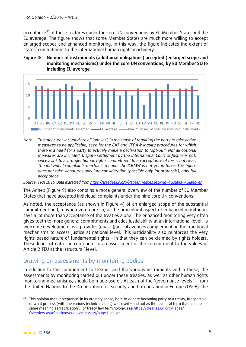acceptance<sup>[31](#page-15-0)</sup> of these features under the core UN conventions by EU Member State, and the EU average. The figure shows that some Member States are much more willing to accept enlarged scopes and enhanced monitoring. In this way, the figure indicates the extent of states' commitment to the international human rights machinery.





*Note: The measures included are all 'opt-ins', in the sense of requiring the party to take active measures to be applicable, save for the CAT and CEDAW inquiry procedures for which there is a need for a party to actively make a declaration to 'opt-out'. Not all optional measures are included. Dispute settlement by the International Court of Justice is not, since a link to a stronger human rights commitment to an acceptance of this is not clear. The individual complaints mechanism under the ICRMW is not yet in force. The figure does not take signatures only into consideration (possible only for protocols), only full acceptance.*

*Source: FRA 2016, Data extracted from <https://treaties.un.org/Pages/Treaties.aspx?id=4&subid=A&lang=en>*

The Annex (Figure 9) also contains a more general overview of the number of EU Member States that have accepted individual complaints under the nine core UN conventions.

As noted, the acceptance (as shown in Figure 4) of an enlarged scope of the substantial commitment and, maybe even more so, of the procedural aspect of enhanced monitoring, says a lot more than acceptance of the treaties alone. The enhanced monitoring very often gives teeth to more general commitments and adds justiciability at an international level – a welcome development as it provides (quasi-)judicial avenues complementing the traditional mechanisms to access justice at national level. This justiciability also reinforces the very rights-based nature of fundamental rights – in that they can be claimed by rights holders. These kinds of data can contribute to an assessment of the commitment to the values of Article 2 TEU at the 'structural' level.

### Drawing on assessments by monitoring bodies

In addition to the commitment to treaties and the various instruments within these, the assessments by monitoring carried out under these treaties, as well as other human rights monitoring mechanisms, should be made use of. At each of the 'governance levels' – from the United Nations to the Organization for Security and Co-operation in Europe (OSCE), the

<u>.</u>

<span id="page-15-0"></span><sup>&</sup>lt;sup>31</sup> This opinion uses 'acceptance' in its ordinary sense, here to denote becoming party to a treaty, irrespective of what process (with the various technical labels) was used – and not as the technical term that has the same meaning as 'ratification'. For treaty law terminology, see [https://treaties.un.org/Pages/](https://treaties.un.org/Pages/Overview.aspx?path=overview/glossary/page1_en.xml) [Overview.aspx?path=overview/glossary/page1\\_en.xml.](https://treaties.un.org/Pages/Overview.aspx?path=overview/glossary/page1_en.xml)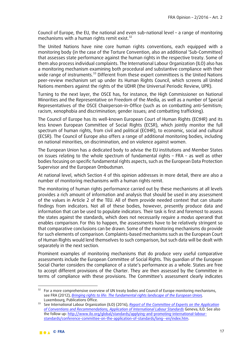Council of Europe, the EU, the national and even sub-national level – a range of monitoring mechanisms with a human rights remit exist.<sup>[32](#page-16-0)</sup>

The United Nations have nine core human rights conventions, each equipped with a monitoring body (in the case of the Torture Convention, also an additional 'Sub-Committee) that assesses state performance against the human rights in the respective treaty. Some of them also process individual complaints. The International Labour Organization (ILO) also has a monitoring mechanism examining both procedural and substantive compliance with their wide range of instruments.<sup>[33](#page-16-1)</sup> Different from these expert committees is the United Nations peer-review mechanism set up under its Human Rights Council, which screens all United Nations members against the rights of the UDHR (the Universal Periodic Review, UPR).

Turning to the next layer, the OSCE has, for instance, the High Commissioner on National Minorities and the Representative on Freedom of the Media, as well as a number of Special Representatives of the OSCE Chairperson-in-Office (such as on combatting anti-Semitism; racism, xenophobia and discrimination; gender issues; and combatting trafficking).

The Council of Europe has its well-known European Court of Human Rights (ECtHR) and its less known European Committee of Social Rights (ECSR), which jointly monitor the full spectrum of human rights, from civil and political (ECtHR), to economic, social and cultural (ECSR). The Council of Europe also offers a range of additional monitoring bodies, including on national minorities, on discrimination, and on violence against women.

The European Union has a dedicated body to advise the EU institutions and Member States on issues relating to the whole spectrum of fundamental rights – FRA – as well as other bodies focusing on specific fundamental rights aspects, such as the European Data Protection Supervisor and the European Ombudsman.

At national level, which Section 4 of this opinion addresses in more detail, there are also a number of monitoring mechanisms with a human rights remit.

The monitoring of human rights performance carried out by these mechanisms at all levels provides a rich amount of information and analysis that should be used in any assessment of the values in Article 2 of the TEU. All of them provide needed context that can situate findings from indicators. Not all of these bodies, however, presently produce data and information that can be used to populate indicators. Their task is first and foremost to assess the states against the standards, which does not necessarily require a *modus operandi* that enables comparison. For this to happen, the assessments have to be relatively stringent so that comparative conclusions can be drawn. Some of the monitoring mechanisms do provide for such elements of comparison. Complaints-based mechanisms such as the European Court of Human Rights would lend themselves to such comparison, but such data will be dealt with separately in the next section.

Prominent examples of monitoring mechanisms that do produce very useful comparative assessments include the European Committee of Social Rights. This guardian of the European Social Charter considers the compliance of a state's performance as a whole. States are free to accept different provisions of the Charter. They are then assessed by the Committee in terms of compliance with these provisions. The Committee's assessment clearly indicates

 $\overline{a}$ 

<span id="page-16-0"></span> $32$  For a more comprehensive overview of UN treaty bodies and Council of Europe monitoring mechanisms, see FRA (2012), *[Bringing rights to life: The fundamental rights landscape of the European Union,](http://fra.europa.eu/sites/default/files/fra-2012-bringing-rights-to-life_en.pdf)* 

<span id="page-16-1"></span><sup>&</sup>lt;sup>33</sup> See International Labour Organization (ILO) (2016), *Report of the Committee of Experts on the Application [of Conventions and Recommendations, Application of International Labour Standards](http://www.ilo.org/public/libdoc/ilo/P/09661/09661(2016-105-1A).pdf)* Geneva, ILO. See also the follow up: [http://www.ilo.org/global/standards/applying-and-promoting-international-labour](http://www.ilo.org/global/standards/applying-and-promoting-international-labour-standards/conference-committee-on-the-application-of-standards/lang--en/index.htm)[standards/conference-committee-on-the-application-of-standards/lang--en/index.htm.](http://www.ilo.org/global/standards/applying-and-promoting-international-labour-standards/conference-committee-on-the-application-of-standards/lang--en/index.htm)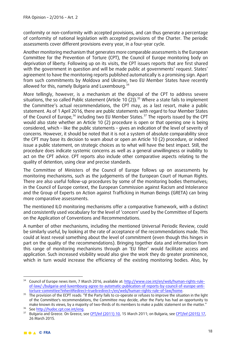conformity or non-conformity with accepted provisions, and can thus generate a percentage of conformity of national legislation with accepted provisions of the Charter. The periodic assessments cover different provisions every year, in a four-year cycle.

Another monitoring mechanism that generates more comparable assessments is the European Committee for the Prevention of Torture (CPT), the Council of Europe monitoring body on deprivation of liberty. Following up on its visits, the CPT issues reports that are first shared with the government in question and will be made public at governments' request. States' agreement to have the monitoring reports published automatically is a promising sign. Apart from such commitments by Moldova and Ukraine, two EU Member States have recently allowed for this, namely Bulgaria and Luxembourg.<sup>[34](#page-17-0)</sup>

More tellingly, however, is a mechanism at the disposal of the CPT to address severe situations, the so called Public statement (Article 10 (2)).<sup>[35](#page-17-1)</sup> Where a state fails to implement the Committee's actual recommendations, the CPT may, as a last resort, make a public statement. As of 1 April 2016, there are public statements with regard to four Member States of the Council of Europe,<sup>[36](#page-17-2)</sup> including two EU Member States.<sup>[37](#page-17-3)</sup> The reports issued by the CPT would also state whether an Article 10 (2) procedure is open or that opening one is being considered, which – like the public statements – gives an indication of the level of severity of concerns. However, it should be noted that it is not a system of absolute comparability since the CPT may base its decision to warn about or open an Article 10 (2) procedure, or indeed issue a public statement, on strategic choices as to what will have the best impact. Still, the procedure does indicate systemic concerns as well as a general unwillingness or inability to act on the CPT advice. CPT reports also include other comparative aspects relating to the quality of detention, using clear and precise standards.

The Committee of Ministers of the Council of Europe follows up on assessments by monitoring mechanisms, such as the judgements of the European Court of Human Rights. There are also useful follow-up procedures by some of the monitoring bodies themselves; in the Council of Europe context, the European Commission against Racism and Intolerance and the Group of Experts on Action against Trafficking in Human Beings (GRETA) can bring more comparative assessments.

The mentioned ILO monitoring mechanisms offer a comparative framework, with a distinct and consistently used vocabulary for the level of 'concern' used by the Committee of Experts on the Application of Conventions and Recommendations.

A number of other mechanisms, including the mentioned Universal Periodic Review, could be similarly useful, by looking at the rate of acceptance of the recommendations made. This could at least reveal something about the level of commitment (even though this hinges in part on the quality of the recommendations). Bringing together data and information from this range of monitoring mechanisms through an 'EU filter' would facilitate access and application. Such increased visibility would also give the work they do greater prominence, which in turn would increase the efficiency of the existing monitoring bodies. Also, by

<span id="page-17-0"></span><sup>&</sup>lt;u>.</u> <sup>34</sup> Council of Europe news item, 7 March 2016, available at: [http://www.coe.int/en/web/human-rights-rule](http://www.coe.int/en/web/human-rights-rule-of-law/-/bulgaria-and-luxembourg-agree-to-automatic-publication-of-reports-by-council-of-europe-anti-torture-committee?inheritRedirect=true&redirect=/en/web/human-rights-rule-of-law/home)[of-law/-/bulgaria-and-luxembourg-agree-to-automatic-publication-of-reports-by-council-of-europe-anti-](http://www.coe.int/en/web/human-rights-rule-of-law/-/bulgaria-and-luxembourg-agree-to-automatic-publication-of-reports-by-council-of-europe-anti-torture-committee?inheritRedirect=true&redirect=/en/web/human-rights-rule-of-law/home)

<span id="page-17-1"></span><sup>&</sup>lt;sup>35</sup> The provision of the ECPT reads: "If the Party fails to co-operate or refuses to improve the situation in the light of the Committee's recommendations, the Committee may decide, after the Party has had an opportunity to make known its views, by a majority of two-thirds of its members to make a public statement on the matter."<br><sup>36</sup> See http://hudoc.cpt.coe.int/eng.

<span id="page-17-3"></span><span id="page-17-2"></span><sup>&</sup>lt;sup>37</sup> Bulgaria and Greece. On Greece, see CPT/Inf [\(2011\) 10,](http://hudoc.cpt.coe.int/eng%23%7B%22CPTDocumentType%22:%5B%22ps%22%5D,%22CPTSectionID%22:%5B%22p-grc-2011decl-en-1%22%5D%7D) 15 March 2011; on Bulgaria, see CPT/Inf (2015) 17, 26 March 2015.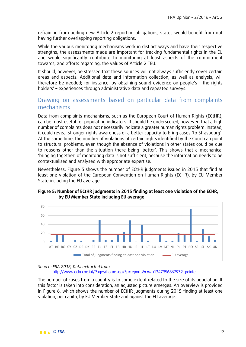refraining from adding new Article 2 reporting obligations, states would benefit from not having further overlapping reporting obligations.

While the various monitoring mechanisms work in distinct ways and have their respective strengths, the assessments made are important for tracking fundamental rights in the EU and would significantly contribute to monitoring at least aspects of the commitment towards, and efforts regarding, the values of Article 2 TEU.

It should, however, be stressed that these sources will not always sufficiently cover certain areas and aspects. Additional data and information collection, as well as analysis, will therefore be needed; for instance, by obtaining sound evidence on people's – the rights holders' – experiences through administrative data and repeated surveys.

### Drawing on assessments based on particular data from complaints mechanisms

Data from complaints mechanisms, such as the European Court of Human Rights (ECtHR), can be most useful for populating indicators. It should be underscored, however, that a high number of complaints does not necessarily indicate a greater human rights problem. Instead, it could reveal stronger rights awareness or a better capacity to bring cases 'to Strasbourg'. At the same time, the number of violations of certain rights identified by the Court can point to structural problems, even though the absence of violations in other states could be due to reasons other than the situation there being 'better'. This shows that a mechanical 'bringing together' of monitoring data is not sufficient, because the information needs to be contextualised and analysed with appropriate expertise.

Nevertheless, Figure 5 shows the number of ECtHR judgments issued in 2015 that find at least one violation of the European Convention on Human Rights (ECHR), by EU Member State including the EU average.



#### **Figure 5: Number of ECtHR judgments in 2015 finding at least one violation of the ECHR, by EU Member State including EU average**

*Source: FRA 2016, Data extracted from* [http://www.echr.coe.int/Pages/home.aspx?p=reports&c=#n1347956867932\\_pointer](http://www.echr.coe.int/Pages/home.aspx?p=reports&c=%23n1347956867932_pointer)

The number of cases from a country is to some extent related to the size of its population. If this factor is taken into consideration, an adjusted picture emerges. An overview is provided in Figure 6, which shows the number of ECtHR judgments during 2015 finding at least one violation, per capita, by EU Member State and against the EU average.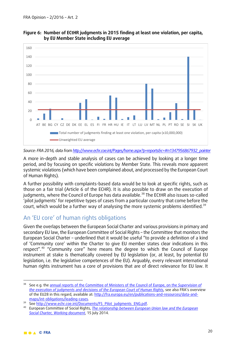



*Source: FRA 2016, data fro[m http://www.echr.coe.int/Pages/home.aspx?p=reports&c=#n1347956867932\\_pointer](http://www.echr.coe.int/Pages/home.aspx?p=reports&c=%23n1347956867932_pointer)*

A more in-depth and stable analysis of cases can be achieved by looking at a longer time period, and by focusing on specific violations by Member State. This reveals more apparent systemic violations (which have been complained about, and processed by the European Court of Human Rights).

A further possibility with complaints-based data would be to look at specific rights, such as those on a fair trial (Article 6 of the ECHR). It is also possible to draw on the execution of judgments, where the Council of Europe has data available.<sup>[38](#page-19-0)</sup> The ECtHR also issues so-called 'pilot judgments' for repetitive types of cases from a particular country that come before the court, which would be a further way of analysing the more systemic problems identified.<sup>[39](#page-19-1)</sup>

#### An 'EU core' of human rights obligations

Given the overlaps between the European Social Charter and various provisions in primary and secondary EU law, the European Committee of Social Rights – the Committee that monitors the European Social Charter – underlined that it would be useful "to provide a definition of a kind of 'Community core' within the Charter to give EU member states clear indications in this respect".[40](#page-19-2) "Community core" here means the degree to which the Council of Europe instrument at stake is thematically covered by EU legislation (or, at least, by potential EU legislation, i.e. the legislative competences of the EU). Arguably, every relevant international human rights instrument has a core of provisions that are of direct relevance for EU law. It

<u>.</u>

<span id="page-19-0"></span><sup>38</sup> See e.g. th[e annual reports of the Committee of Ministers of the Council of Europe, on the](http://www.coe.int/en/web/execution/annual-reports) *Supervision of [the execution of judgments and decisions of the European Court of Human Rights](http://www.coe.int/en/web/execution/annual-reports)*, see also FRA's overview of the EU28 in this regard, available at[: http://fra.europa.eu/en/publications-and-resources/data-and-](http://fra.europa.eu/en/publications-and-resources/data-and-maps/int-obligations/leading-cases)

<span id="page-19-2"></span><span id="page-19-1"></span>

[maps/int-obligations/leading-cases.](http://fra.europa.eu/en/publications-and-resources/data-and-maps/int-obligations/leading-cases)<br><sup>39</sup> See <u>http://www.echr.coe.int/Documents/FS\_Pilot\_judgments\_ENG.pdf</u>.<br><sup>40</sup> European Committee of Social Rights, *The relationship between European Union law and the European [Social Charter, Working document](https://rm.coe.int/CoERMPublicCommonSearchServices/DisplayDCTMContent?documentId=0900001680458752)*, 15 July 2014.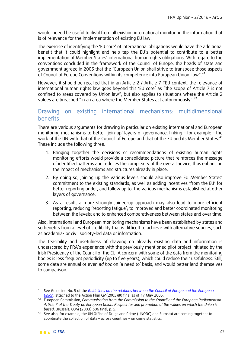would indeed be useful to distil from all existing international monitoring the information that is of relevance for the implementation of existing EU law.

The exercise of identifying the 'EU core' of international obligations would have the additional benefit that it could highlight and help tap the EU's potential to contribute to a better implementation of Member States' international human rights obligations. With regard to the conventions concluded in the framework of the Council of Europe, the heads of state and government agreed in 2005 that the "European Union shall strive to transpose those aspects of Council of Europe Conventions within its competence into European Union Law".<sup>[41](#page-20-0)</sup>

However, it should be recalled that in an Article 2 / Article 7 TEU context, the relevance of international human rights law goes beyond this 'EU core' as "the scope of Article 7 is not confined to areas covered by Union law", but also applies to situations where the Article 2 values are breached "in an area where the Member States act autonomously".<sup>[42](#page-20-1)</sup>

### Drawing on existing international mechanisms: multidimensional benefits

There are various arguments for drawing in particular on existing international and European monitoring mechanisms to better 'join-up' layers of governance, linking – for example – the work of the UN with that of the Council of Europe and that of the EU and its Member States.<sup>[43](#page-20-2)</sup> These include the following three:

- 1. Bringing together the decisions or recommendations of existing human rights monitoring efforts would provide a consolidated picture that reinforces the message of identified patterns and reduces the complexity of the overall advice, thus enhancing the impact of mechanisms and structures already in place.
- 2. By doing so, joining up the various levels should also improve EU Member States' commitment to the existing standards, as well as adding incentives 'from the EU' for better reporting under, and follow up to, the various mechanisms established at other layers of governance.
- 3. As a result, a more strongly joined-up approach may also lead to more efficient reporting, reducing 'reporting fatigue'; to improved and better coordinated monitoring between the levels; and to enhanced comparativeness between states and over time.

Also, international and European monitoring mechanisms have been established by states and so benefits from a level of credibility that is difficult to achieve with alternative sources, such as academia- or civil society-led data or information.

The feasibility and usefulness of drawing on already existing data and information is underscored by FRA's experience with the previously mentioned pilot project initiated by the Irish Presidency of the Council of the EU. A concern with some of the data from the monitoring bodies is less frequent periodicity (up to five years), which could reduce their usefulness. Still, some data are annual or even *ad hoc* on 'a need to' basis, and would better lend themselves to comparison.

<span id="page-20-0"></span> $41$ See Guideline No. 5 of the *[Guidelines on the relations between the Council of Europe and](http://www.coe.int/t/dcr/summit/20050517_plan_action_en.asp) the European Union*, attached to the Action Plan CM(2005)80 final as of 17 May 2005.

<span id="page-20-1"></span><sup>&</sup>lt;sup>42</sup> European Commission[,](http://www.coe.int/t/dcr/summit/20050517_plan_action_en.asp) *Communication from the Commission to the Council and the European Parliament on Article 7 of the Treaty on European Union. Respect for and promotion of the values on which the Union is based*, Brussels, COM (2003) 606 final, p. 5.

<span id="page-20-2"></span><sup>43</sup> See also, for example, the UN Office of Drugs and Crime (UNODC) and Eurostat are coming together to coordinate the collection of data – across countries – on crime statistics.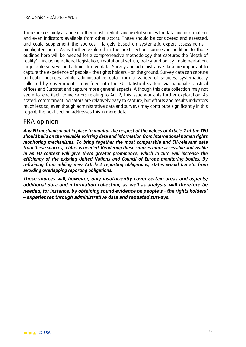There are certainly a range of other most credible and useful sources for data and information, and even indicators available from other actors. These should be considered and assessed, and could supplement the sources – largely based on systematic expert assessments – highlighted here. As is further explored in the next section, sources in addition to those outlined here will be needed for a comprehensive methodology that captures the 'depth of reality' – including national legislation, institutional set-up, policy and policy implementation, large scale surveys and administrative data. Survey and administrative data are important to capture the experience of people – the rights holders – on the ground. Survey data can capture particular nuances, while administrative data from a variety of sources, systematically collected by governments, may feed into the EU statistical system via national statistical offices and Eurostat and capture more general aspects. Although this data collection may not seem to lend itself to indicators relating to Art. 2, this issue warrants further exploration. As stated, commitment indicators are relatively easy to capture, but efforts and results indicators much less so, even though administrative data and surveys may contribute significantly in this regard; the next section addresses this in more detail.

### FRA opinion

*Any EU mechanism put in place to monitor the respect of the values of Article 2 of the TEU should build on the valuable existing data and information from international human rights monitoring mechanisms. To bring together the most comparable and EU-relevant data from these sources, a filter is needed. Rendering these sources more accessible and visible in an EU context will give them greater prominence, which in turn will increase the efficiency of the existing United Nations and Council of Europe monitoring bodies. By refraining from adding new Article 2 reporting obligations, states would benefit from avoiding overlapping reporting obligations.* 

*These sources will, however, only insufficiently cover certain areas and aspects; additional data and information collection, as well as analysis, will therefore be needed, for instance, by obtaining sound evidence on people's – the rights holders' – experiences through administrative data and repeated surveys.*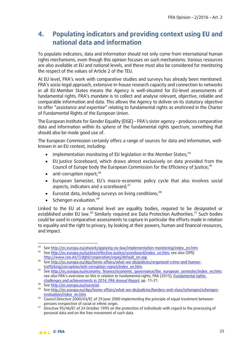# **4. Populating indicators and providing context using EU and national data and information**

To populate indicators, data and information should not only come from international human rights mechanisms, even though this opinion focuses on such mechanisms. Various resources are also available at EU and national levels, and these must also be considered for monitoring the respect of the values of Article 2 of the TEU.

At EU level, FRA's work with comparative studies and surveys has already been mentioned. FRA's socio-legal approach, extensive in-house research capacity and connection to networks in all EU Member States means the Agency is well-situated for EU-level assessments of fundamental rights. FRA's mandate is to collect and analyse relevant, objective, reliable and comparable information and data. This allows the Agency to deliver on its statutory objective to offer "*assistance and expertise*" relating to fundamental rights as enshrined in the Charter of Fundamental Rights of the European Union.

The European Institute for Gender Equality (EIGE) – FRA's sister agency – produces comparative data and information within its sphere of the fundamental rights spectrum, something that should also be made good use of.

The European Commission certainly offers a range of sources for data and information, wellknown in an EU context, including:

- $\bullet$  implementation monitoring of EU legislation in the Member States;<sup>[44](#page-22-0)</sup>
- EU Justice Scoreboard, which draws almost exclusively on data provided from the Council of Europe body the European Commission for the Efficiency of Justice; [45](#page-22-1)
- anti-corruption report;<sup>[46](#page-22-2)</sup>
- European Semester, EU's macro-economic policy cycle that also involves social aspects, indicators and a scoreboard; [47](#page-22-3)
- $\bullet$  Eurostat data, including surveys on living conditions;<sup>[48](#page-22-4)</sup>
- Schengen evaluation.<sup>[49](#page-22-5)</sup>

Linked to the EU at a national level are equality bodies, required to be designated or established under EU law.<sup>[50](#page-22-6)</sup> Similarly required are Data Protection Authorities.<sup>[51](#page-22-7)</sup> Such bodies could be used in comparative assessments to capture in particular the efforts made in relation to equality and the right to privacy, by looking at their powers, human and financial resources, and impact.

 $\overline{a}$ 

<span id="page-22-1"></span><span id="page-22-0"></span><sup>44</sup> See <u>http://ec.europa.eu/atwork/applying-eu-law/implementation-monitoring/index\_en.htm</u><br>45 See <u>http://ec.europa.eu/justice/effective-justice/scoreboard/index\_en.htm</u>; see also CEPEJ<br>http://www.coe.int/T/dghl/cooperatio

<span id="page-22-2"></span><sup>46</sup> Se[e http://ec.europa.eu/dgs/home-affairs/what-we-do/policies/organized-crime-and-human](http://ec.europa.eu/dgs/home-affairs/what-we-do/policies/organized-crime-and-human-trafficking/corruption/anti-corruption-report/index_en.htm)trafficking/corruption/anti-corruption-report/index\_en.htm.<br>47 See http://ec.europa.eu/economy\_finance/economic\_governance/the\_european\_semester/index\_en.htm;

<span id="page-22-3"></span>see also FRA's overview on this in relation to fundamental rights, FRA (2015), *[Fundamental rights:](http://fra.europa.eu/en/publication/2015/fundamental-rights-challenges-and-achievements-2014)  [challenges and achievements in 2014, FRA Annual Report](http://fra.europa.eu/en/publication/2015/fundamental-rights-challenges-and-achievements-2014)*, pp. 11–21.

<span id="page-22-4"></span><sup>48</sup> Se[e http://ec.europa.eu/eurostat.](http://ec.europa.eu/eurostat) 49 Se[e http://ec.europa.eu/dgs/home-affairs/what-we-do/policies/borders-and-visas/schengen/schengen-](http://ec.europa.eu/dgs/home-affairs/what-we-do/policies/borders-and-visas/schengen/schengen-evaluation/index_en.htm)

<span id="page-22-6"></span><span id="page-22-5"></span>[evaluation/index\\_en.htm.](http://ec.europa.eu/dgs/home-affairs/what-we-do/policies/borders-and-visas/schengen/schengen-evaluation/index_en.htm) 50 Council Directive 2000/43/EC of 29 June 2000 implementing the principle of equal treatment between persons irrespective of racial or ethnic origin.

<span id="page-22-7"></span><sup>&</sup>lt;sup>51</sup> Directive 95/46/EC of 24 October 1995 on the protection of individuals with regard to the processing of personal data and on the free movement of such data.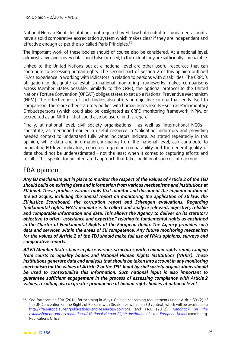National Human Rights Institutions, not required by EU law but central for fundamental rights, have a solid comparative accreditation system which makes clear if they are independent and effective enough as per the so-called Paris Principles.<sup>[52](#page-23-0)</sup>

The important work of these bodies should of course also be considered. At a national level, administrative and survey data should also be used, to the extent they are sufficiently comparable.

Linked to the United Nations but at a national level are other useful resources that can contribute to assessing human rights. The second part of Section 2 of this opinion outlined FRA's experience in working with indicators in relation to persons with disabilities. The CRPD's obligation to designate or establish national monitoring frameworks makes comparisons across Member States possible. Similarly to the CRPD, the optional protocol to the United Nations Torture Convention (OPCAT) obliges states to set up a National Preventive Mechanism (NPM). The effectiveness of such bodies also offers an objective criteria that lends itself to comparison. There are other statutory bodies with human rights remits – such as Parliamentary Ombudspersons (which could also be designated as CRPD monitoring framework, NPM, or accredited as an NHRI) – that could also be useful in this regard.

Finally, at national level, civil society organisations – as well as 'international NGOs' – constitute, as mentioned earlier, a useful resource in 'validating' indicators and providing needed context to understand fully what indicators indicate. As stated repeatedly in this opinion, while data and information, including from the national level, can contribute to populating EU-level indicators, concerns regarding comparability and the general quality of data should not be underestimated – not the least when it comes to capturing efforts and results. This speaks for an integrated approach that takes additional sources into account.

### FRA opinion

*Any EU mechanism put in place to monitor the respect of the values of Article 2 of the TEU should build on existing data and information from various mechanisms and institutions at EU level. These produce various tools that monitor and document the implementation of the EU* **acquis***, including the annual report on monitoring the application of EU law, the EU Justice Scoreboard, the corruption report and Schengen evaluations. Regarding fundamental rights, FRA's mandate is to collect and analyse relevant, objective, reliable and comparable information and data. This allows the Agency to deliver on its statutory objective to offer "assistance and expertise" relating to fundamental rights as enshrined in the Charter of Fundamental Rights of the European Union. The Agency provides such data and services within the areas of EU competence. Any future monitoring mechanism for the values of Article 2 of the TEU should make full use of FRA's opinions, surveys and comparative reports.* 

*All EU Member States have in place various structures with a human rights remit, ranging from courts to equality bodies and National Human Rights Institutions (NHRIs). These institutions generate data and analysis that should be taken into account in any monitoring mechanism for the values of Article 2 of the TEU. Input by civil society organisations should be used to contextualise this information. Such national input is also important to guarantee sufficient engagement in the process of assessing compliance with Article 2 values, resulting also in greater prominence of human rights bodies at national level.*

-

<span id="page-23-0"></span><sup>&</sup>lt;sup>52</sup> See forthcoming FRA (2016, forthcoming in May), Opinion concerning requirements under Article 33 (2) of the UN Convention on the Rights of Persons with Disabilities within an EU context, which will be available at: <http://fra.europa.eu/en/publications-and-resources/opinions> and FRA (2012), *[Handbook on the](http://fra.europa.eu/en/publication/2012/handbook-establishment-and-accreditation-national-human-rights-institutions)  [establishment and accreditation of National Human Rights Institutions in the European Union](http://fra.europa.eu/en/publication/2012/handbook-establishment-and-accreditation-national-human-rights-institutions)*Luxembourg, Publications Office.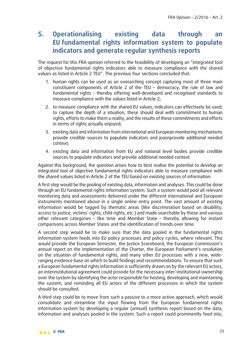# **5. Operationalising existing data through an EU fundamental rights information system to populate indicators and generate regular synthesis reports**

The request for this FRA opinion referred to the feasibility of developing an "integrated tool of objective fundamental rights indicators able to measure compliance with the shared values as listed in Article 2 TEU". The previous four sections concluded that:

- 1. human rights can be used as an overarching concept capturing most of three main constituent components of Article 2 of the TEU – democracy, the rule of law and fundamental rights – thereby offering well-developed and recognised standards to measure compliance with the values listed in Article 2;
- 2. to measure compliance with the shared EU values, indicators can effectively be used; to capture the depth of a situation, these should deal with commitment to human rights, efforts to make them a reality, and the results of these commitments and efforts in terms of rights actually enjoyed;
- 3. existing data and information from international and European monitoring mechanisms provide credible sources to populate indicators and joasnprovide additional needed context;
- 4. existing data and information from EU and national level bodies provide credible sources to populate indicators and provide additional needed context.

Against this background, the question arises how to best realise the potential to develop an integrated tool of objective fundamental rights indicators able to measure compliance with the shared values listed in Article 2 of the TEU based on existing sources of information.

A first step would be the pooling of existing data, information and analyses. This could be done through an EU fundamental rights information system. Such a system would pool all relevant monitoring data and assessments delivered under the different international and European instruments mentioned above in a single online entry point. The vast amount of existing information would be tagged by thematic areas (like discrimination based on disability, access to justice, victims' rights, child rights, etc.) and made searchable by these and various other relevant categories – like time and Member State – thereby allowing for instant comparisons across Member States and the identification of trends over time.

A second step would be to make sure that the data pooled in the fundamental rights information system feeds into EU policy processes and policy cycles, where relevant. This would provide the European Semester, the Justice Scoreboard, the European Commission's annual report on the implementation of the Charter, the European Parliament's resolution on the situation of fundamental rights, and many other EU processes with a new, wideranging evidence base on which to build findings and recommendations. To ensure that such a European fundamental rights information is sufficiently drawn on by the relevant EU actors, an interinstitutional agreement could provide for the necessary inter-institutional ownership over the system by identifying the actor responsible for hosting, developing and maintaining the system, and reminding all EU actors of the different processes in which the system should be consulted.

A third step could be to move from such a passive to a more active approach, which would consolidate and streamline the input flowing from the European fundamental rights information system by developing a regular (annual) synthesis report based on the data, information and analyses pooled in the system. Such a report could prominently feed into,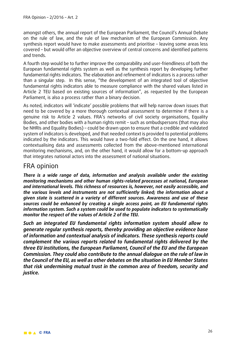amongst others, the annual report of the European Parliament, the Council's Annual Debate on the rule of law, and the rule of law mechanism of the European Commission. Any synthesis report would have to make assessments and prioritise – leaving some areas less covered – but would offer an objective overview of central concerns and identified patterns and trends.

A fourth step would be to further improve the comparability and user-friendliness of both the European fundamental rights system as well as the synthesis report by developing further fundamental rights indicators. The elaboration and refinement of indicators is a process rather than a singular step. In this sense, "the development of an integrated tool of objective fundamental rights indicators able to measure compliance with the shared values listed in Article 2 TEU based on existing sources of information", as requested by the European Parliament, is also a process rather than a binary decision.

As noted, indicators will 'indicate' possible problems that will help narrow down issues that need to be covered by a more thorough contextual assessment to determine if there is a genuine risk to Article 2 values. FRA's networks of civil society organisations, Equality Bodies, and other bodies with a human rights remit – such as ombudspersons (that may also be NHRIs and Equality Bodies) – could be drawn upon to ensure that a credible and validated system of indicators is developed, and that needed context is provided to potential problems indicated by the indicators. This would have a two-fold effect. On the one hand, it allows contextualising data and assessments collected from the above-mentioned international monitoring mechanisms, and, on the other hand, it would allow for a bottom-up approach that integrates national actors into the assessment of national situations.

### FRA opinion

*There is a wide range of data, information and analysis available under the existing monitoring mechanisms and other human rights-related processes at national, European and international levels. This richness of resources is, however, not easily accessible, and the various levels and instruments are not sufficiently linked; the information about a given state is scattered in a variety of different sources. Awareness and use of these sources could be enhanced by creating a single access point, an EU fundamental rights information system. Such a system could be used to populate indicators to systematically monitor the respect of the values of Article 2 of the TEU.* 

*Such an integrated EU fundamental rights information system should allow to generate regular synthesis reports, thereby providing an objective evidence base of information and contextual analysis of indicators. These synthesis reports could complement the various reports related to fundamental rights delivered by the three EU institutions, the European Parliament, Council of the EU and the European Commission. They could also contribute to the annual dialogue on the rule of law in the Council of the EU, as well as other debates on the situation in EU Member States that risk undermining mutual trust in the common area of freedom, security and justice.*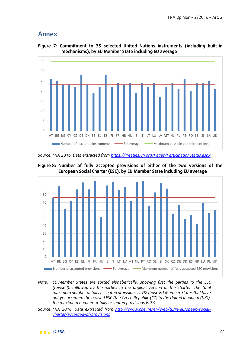#### **Annex**



**Figure 7: Commitment to 35 selected United Nations instruments (including built-in mechanisms), by EU Member State including EU average**

*Source: FRA 2016, Data extracted from<https://treaties.un.org/Pages/ParticipationStatus.aspx>*





*Note: EU Member States are sorted alphabetically, showing first the parties to the ESC (revised), followed by the parties to the original version of the charter. The total maximum number of fully accepted provisions is 98; those EU Member States that have not yet accepted the revised ESC (the Czech Republic (CZ) to the United Kingdom (UK)), the maximum number of fully accepted provisions is 76.*

*Source: FRA 2016, Data extracted from [http://www.coe.int/en/web/turin-european-social](http://www.coe.int/en/web/turin-european-social-charter/accepted-of-provisions)[charter/accepted-of-provisions](http://www.coe.int/en/web/turin-european-social-charter/accepted-of-provisions)*